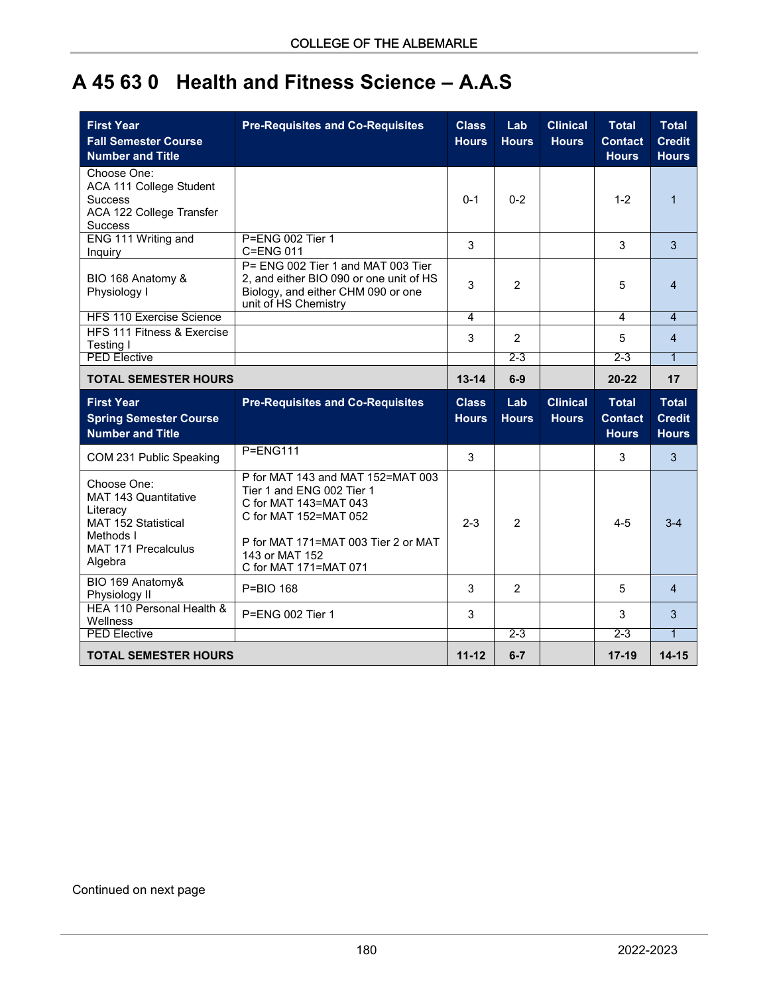## **A 45 63 0 Health and Fitness Science – A.A.S**

| <b>First Year</b><br><b>Fall Semester Course</b><br><b>Number and Title</b>                                                         | <b>Pre-Requisites and Co-Requisites</b>                                                                                                                                                            | <b>Class</b><br><b>Hours</b> | Lab<br><b>Hours</b> | <b>Clinical</b><br><b>Hours</b> | <b>Total</b><br><b>Contact</b><br><b>Hours</b> | <b>Total</b><br><b>Credit</b><br><b>Hours</b> |
|-------------------------------------------------------------------------------------------------------------------------------------|----------------------------------------------------------------------------------------------------------------------------------------------------------------------------------------------------|------------------------------|---------------------|---------------------------------|------------------------------------------------|-----------------------------------------------|
| Choose One:<br>ACA 111 College Student<br><b>Success</b><br>ACA 122 College Transfer<br><b>Success</b>                              |                                                                                                                                                                                                    | $0 - 1$                      | $0 - 2$             |                                 | $1 - 2$                                        | $\mathbf{1}$                                  |
| ENG 111 Writing and<br>Inquiry                                                                                                      | P=ENG 002 Tier 1<br>C=ENG 011                                                                                                                                                                      | 3                            |                     |                                 | 3                                              | 3                                             |
| BIO 168 Anatomy &<br>Physiology I                                                                                                   | P= ENG 002 Tier 1 and MAT 003 Tier<br>2, and either BIO 090 or one unit of HS<br>Biology, and either CHM 090 or one<br>unit of HS Chemistry                                                        | 3                            | $\overline{2}$      |                                 | 5                                              | $\overline{4}$                                |
| <b>HFS 110 Exercise Science</b>                                                                                                     |                                                                                                                                                                                                    | 4                            |                     |                                 | 4                                              | $\overline{4}$                                |
| HFS 111 Fitness & Exercise<br>Testing I                                                                                             |                                                                                                                                                                                                    | 3                            | 2                   |                                 | 5                                              | 4                                             |
| <b>PED Elective</b>                                                                                                                 |                                                                                                                                                                                                    |                              | $2 - 3$             |                                 | $2 - 3$                                        | $\mathbf{1}$                                  |
| <b>TOTAL SEMESTER HOURS</b>                                                                                                         |                                                                                                                                                                                                    | $13 - 14$                    | $6-9$               |                                 | $20 - 22$                                      | 17                                            |
|                                                                                                                                     |                                                                                                                                                                                                    |                              |                     |                                 |                                                |                                               |
| <b>First Year</b><br><b>Spring Semester Course</b><br><b>Number and Title</b>                                                       | <b>Pre-Requisites and Co-Requisites</b>                                                                                                                                                            | <b>Class</b><br><b>Hours</b> | Lab<br><b>Hours</b> | <b>Clinical</b><br><b>Hours</b> | <b>Total</b><br><b>Contact</b><br><b>Hours</b> | <b>Total</b><br><b>Credit</b><br><b>Hours</b> |
| COM 231 Public Speaking                                                                                                             | $P=ENG111$                                                                                                                                                                                         | 3                            |                     |                                 | 3                                              | 3                                             |
| Choose One:<br>MAT 143 Quantitative<br>Literacy<br><b>MAT 152 Statistical</b><br>Methods I<br><b>MAT 171 Precalculus</b><br>Algebra | P for MAT 143 and MAT 152=MAT 003<br>Tier 1 and ENG 002 Tier 1<br>C for MAT 143=MAT 043<br>C for MAT 152=MAT 052<br>P for MAT 171=MAT 003 Tier 2 or MAT<br>143 or MAT 152<br>C for MAT 171=MAT 071 | $2 - 3$                      | $\overline{2}$      |                                 | $4 - 5$                                        | $3 - 4$                                       |
| BIO 169 Anatomy&<br>Physiology II                                                                                                   | P=BIO 168                                                                                                                                                                                          | 3                            | 2                   |                                 | 5                                              | $\overline{4}$                                |
| HEA 110 Personal Health &<br>Wellness                                                                                               | P=ENG 002 Tier 1                                                                                                                                                                                   | 3                            |                     |                                 | 3                                              | 3                                             |
| <b>PED Elective</b>                                                                                                                 |                                                                                                                                                                                                    |                              | $2 - 3$             |                                 | $2 - 3$                                        | $\mathbf{1}$                                  |

Continued on next page